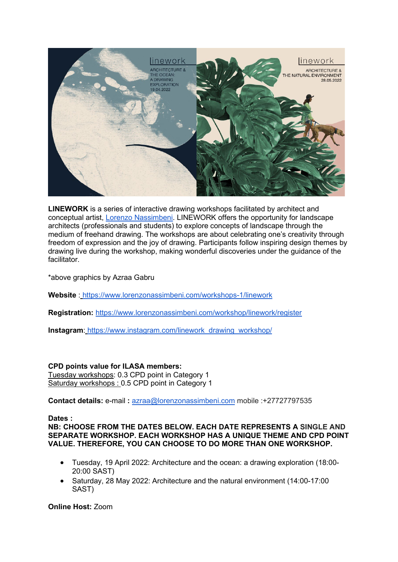

**LINEWORK** is a series of interactive drawing workshops facilitated by architect and conceptual artist, [Lorenzo Nassimbeni.](https://www.lorenzonassimbeni.com/) LINEWORK offers the opportunity for landscape architects (professionals and students) to explore concepts of landscape through the medium of freehand drawing. The workshops are about celebrating one's creativity through freedom of expression and the joy of drawing. Participants follow inspiring design themes by drawing live during the workshop, making wonderful discoveries under the guidance of the facilitator.

\*above graphics by Azraa Gabru

**Website** : <https://www.lorenzonassimbeni.com/workshops-1/linework>

**Registration:** <https://www.lorenzonassimbeni.com/workshop/linework/register>

**Instagram**: [https://www.instagram.com/linework\\_drawing\\_workshop/](https://www.instagram.com/linework_drawing_workshop/)

# **CPD points value for ILASA members:**

Tuesday workshops: 0.3 CPD point in Category 1 Saturday workshops : 0.5 CPD point in Category 1

**Contact details:** e-mail **:** [azraa@lorenzonassimbeni.com](mailto:azraa@lorenzonassimbeni.com) mobile :+27727797535

# **Dates :**

# **NB: CHOOSE FROM THE DATES BELOW. EACH DATE REPRESENTS A SINGLE AND SEPARATE WORKSHOP. EACH WORKSHOP HAS A UNIQUE THEME AND CPD POINT VALUE. THEREFORE, YOU CAN CHOOSE TO DO MORE THAN ONE WORKSHOP.**

- Tuesday, 19 April 2022: Architecture and the ocean: a drawing exploration (18:00- 20:00 SAST)
- Saturday, 28 May 2022: Architecture and the natural environment (14:00-17:00 SAST)

# **Online Host:** Zoom